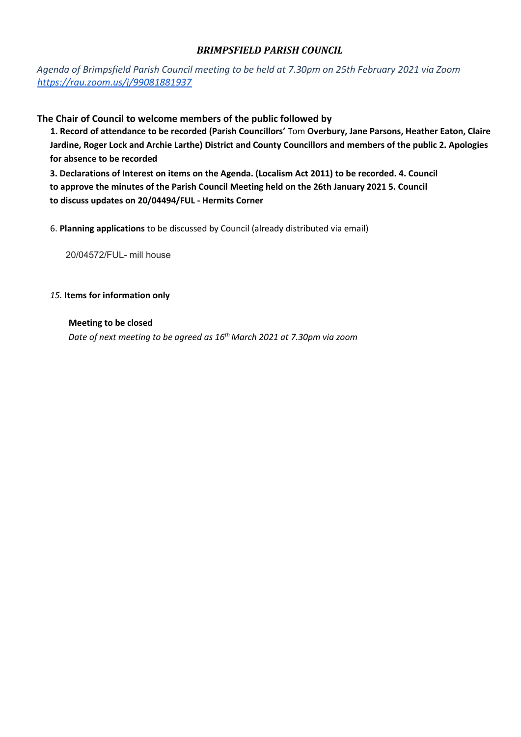## *BRIMPSFIELD PARISH COUNCIL*

*Agenda of Brimpsfield Parish Council meeting to be held at 7.30pm on 25th February 2021 via Zoom https://rau.zoom.us/j/99081881937*

**The Chair of Council to welcome members of the public followed by** 

**1. Record of attendance to be recorded (Parish Councillors'** Tom **Overbury, Jane Parsons, Heather Eaton, Claire Jardine, Roger Lock and Archie Larthe) District and County Councillors and members of the public 2. Apologies for absence to be recorded** 

**3. Declarations of Interest on items on the Agenda. (Localism Act 2011) to be recorded. 4. Council to approve the minutes of the Parish Council Meeting held on the 26th January 2021 5. Council to discuss updates on 20/04494/FUL - Hermits Corner** 

6. **Planning applications** to be discussed by Council (already distributed via email)

20/04572/FUL- mill house

### *15.* **Items for information only**

### **Meeting to be closed**

*Date of next meeting to be agreed as 16th March 2021 at 7.30pm via zoom*